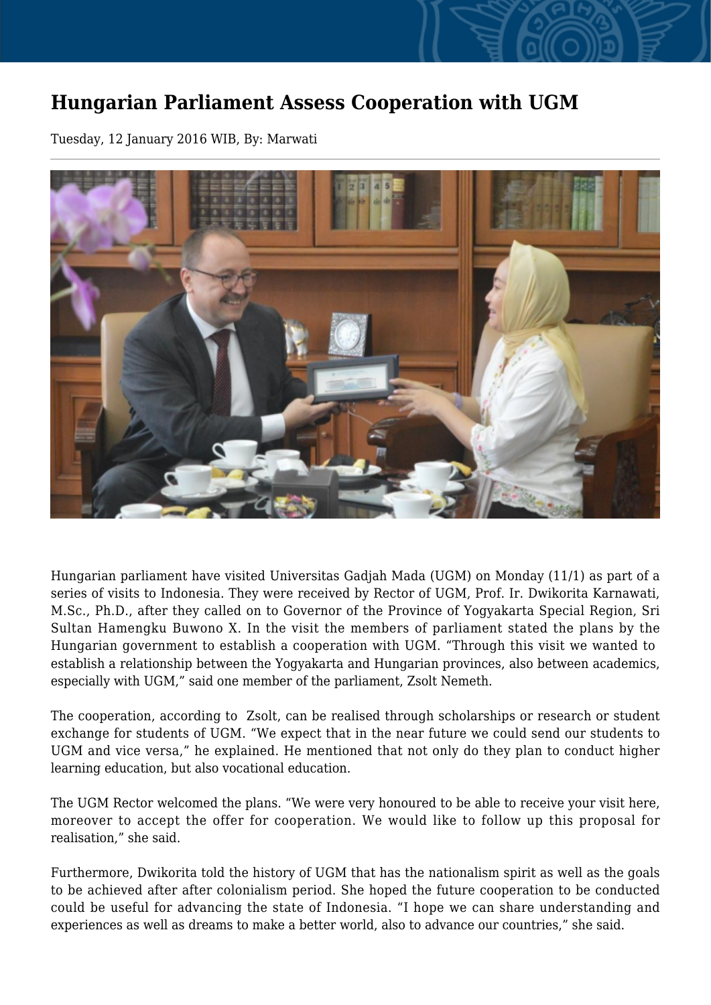## **Hungarian Parliament Assess Cooperation with UGM**

Tuesday, 12 January 2016 WIB, By: Marwati



Hungarian parliament have visited Universitas Gadjah Mada (UGM) on Monday (11/1) as part of a series of visits to Indonesia. They were received by Rector of UGM, Prof. Ir. Dwikorita Karnawati, M.Sc., Ph.D., after they called on to Governor of the Province of Yogyakarta Special Region, Sri Sultan Hamengku Buwono X. In the visit the members of parliament stated the plans by the Hungarian government to establish a cooperation with UGM. "Through this visit we wanted to establish a relationship between the Yogyakarta and Hungarian provinces, also between academics, especially with UGM," said one member of the parliament, Zsolt Nemeth.

The cooperation, according to Zsolt, can be realised through scholarships or research or student exchange for students of UGM. "We expect that in the near future we could send our students to UGM and vice versa," he explained. He mentioned that not only do they plan to conduct higher learning education, but also vocational education.

The UGM Rector welcomed the plans. "We were very honoured to be able to receive your visit here, moreover to accept the offer for cooperation. We would like to follow up this proposal for realisation," she said.

Furthermore, Dwikorita told the history of UGM that has the nationalism spirit as well as the goals to be achieved after after colonialism period. She hoped the future cooperation to be conducted could be useful for advancing the state of Indonesia. "I hope we can share understanding and experiences as well as dreams to make a better world, also to advance our countries," she said.